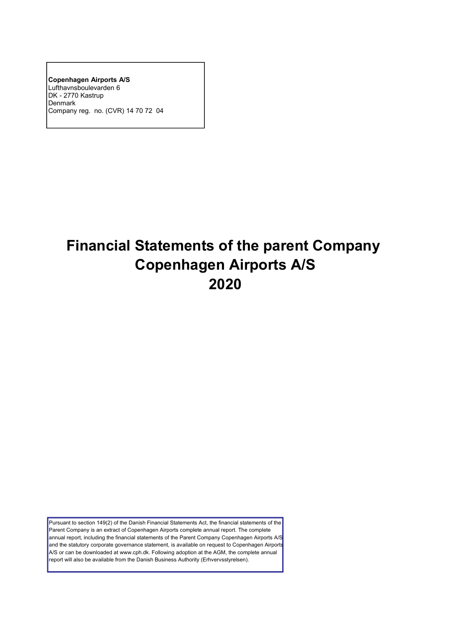**Copenhagen Airports A/S** Lufthavnsboulevarden 6 DK - 2770 Kastrup Denmark Company reg. no. (CVR) 14 70 72 04

# **Financial Statements of the parent Company Copenhagen Airports A/S 2020**

Pursuant to section 149(2) of the Danish Financial Statements Act, the financial statements of the Parent Company is an extract of Copenhagen Airports complete annual report. The complete annual report, including the financial statements of the Parent Company Copenhagen Airports A/S and the statutory corporate governance statement, is available on request to Copenhagen Airports A/S or can be downloaded at www.cph.dk. Following adoption at the AGM, the complete annual report will also be available from the Danish Business Authority (Erhvervsstyrelsen).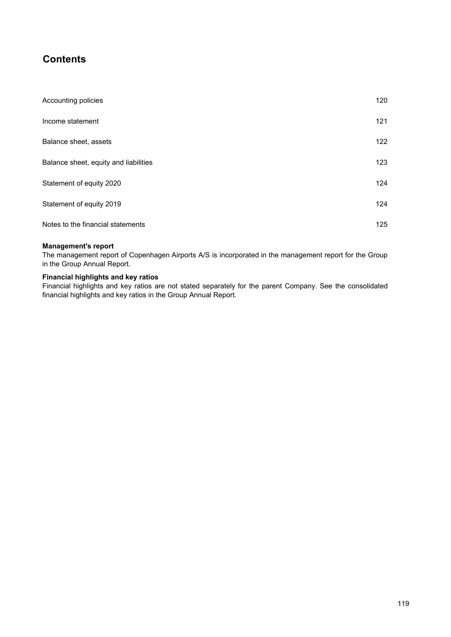# **Contents**

| Accounting policies                   | 120 |
|---------------------------------------|-----|
| Income statement                      | 121 |
| Balance sheet, assets                 | 122 |
| Balance sheet, equity and liabilities | 123 |
| Statement of equity 2020              | 124 |
| Statement of equity 2019              | 124 |
| Notes to the financial statements     | 125 |

# **Management's report**

The management report of Copenhagen Airports A/S is incorporated in the management report for the Group in the Group Annual Report.

# **Financial highlights and key ratios**

Financial highlights and key ratios are not stated separately for the parent Company. See the consolidated financial highlights and key ratios in the Group Annual Report.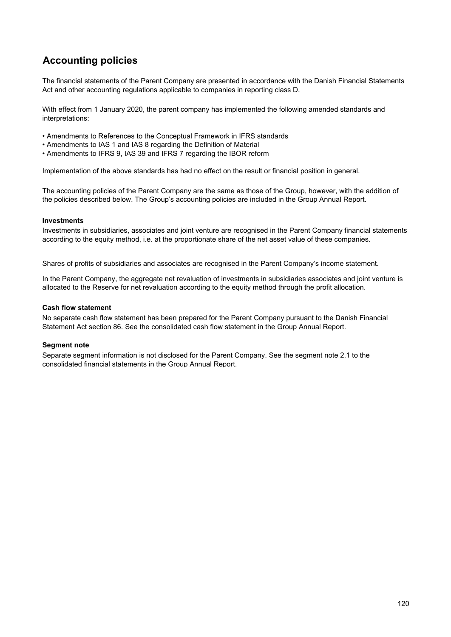# **Accounting policies**

The financial statements of the Parent Company are presented in accordance with the Danish Financial Statements Act and other accounting regulations applicable to companies in reporting class D.

With effect from 1 January 2020, the parent company has implemented the following amended standards and interpretations:

- Amendments to References to the Conceptual Framework in IFRS standards
- Amendments to IAS 1 and IAS 8 regarding the Definition of Material
- Amendments to IFRS 9, IAS 39 and IFRS 7 regarding the IBOR reform

Implementation of the above standards has had no effect on the result or financial position in general.

The accounting policies of the Parent Company are the same as those of the Group, however, with the addition of the policies described below. The Group's accounting policies are included in the Group Annual Report.

## **Investments**

Investments in subsidiaries, associates and joint venture are recognised in the Parent Company financial statements according to the equity method, i.e. at the proportionate share of the net asset value of these companies.

Shares of profits of subsidiaries and associates are recognised in the Parent Company's income statement.

In the Parent Company, the aggregate net revaluation of investments in subsidiaries associates and joint venture is allocated to the Reserve for net revaluation according to the equity method through the profit allocation.

### **Cash flow statement**

No separate cash flow statement has been prepared for the Parent Company pursuant to the Danish Financial Statement Act section 86. See the consolidated cash flow statement in the Group Annual Report.

## **Segment note**

Separate segment information is not disclosed for the Parent Company. See the segment note 2.1 to the consolidated financial statements in the Group Annual Report.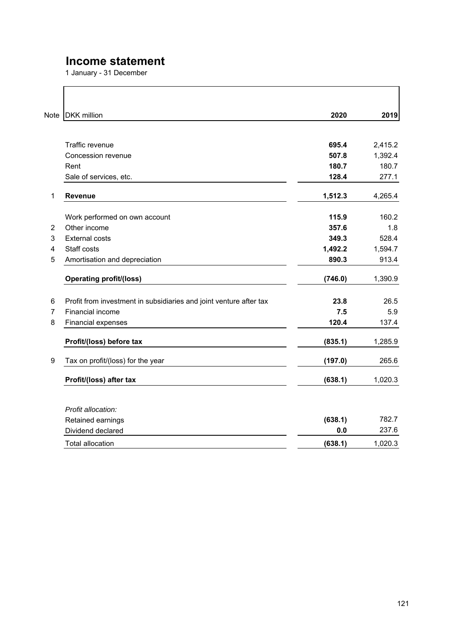# **Income statement**

1 January - 31 December

l.

| Note           | <b>DKK</b> million                                                 | 2020    | 2019    |
|----------------|--------------------------------------------------------------------|---------|---------|
|                |                                                                    |         |         |
|                | Traffic revenue                                                    | 695.4   | 2,415.2 |
|                | Concession revenue                                                 | 507.8   | 1,392.4 |
|                | Rent                                                               | 180.7   | 180.7   |
|                | Sale of services, etc.                                             | 128.4   | 277.1   |
| 1              | Revenue                                                            | 1,512.3 | 4,265.4 |
|                | Work performed on own account                                      | 115.9   | 160.2   |
| $\overline{2}$ | Other income                                                       | 357.6   | 1.8     |
| 3              | <b>External costs</b>                                              | 349.3   | 528.4   |
| 4              | Staff costs                                                        | 1,492.2 | 1,594.7 |
| 5              | Amortisation and depreciation                                      | 890.3   | 913.4   |
|                | <b>Operating profit/(loss)</b>                                     | (746.0) | 1,390.9 |
| 6              | Profit from investment in subsidiaries and joint venture after tax | 23.8    | 26.5    |
| $\overline{7}$ | Financial income                                                   | 7.5     | 5.9     |
| 8              | Financial expenses                                                 | 120.4   | 137.4   |
|                | Profit/(loss) before tax                                           | (835.1) | 1,285.9 |
| 9              | Tax on profit/(loss) for the year                                  | (197.0) | 265.6   |
|                | Profit/(loss) after tax                                            | (638.1) | 1,020.3 |
|                |                                                                    |         |         |
|                | Profit allocation:                                                 |         |         |
|                | Retained earnings                                                  | (638.1) | 782.7   |
|                | Dividend declared                                                  | 0.0     | 237.6   |
|                | <b>Total allocation</b>                                            | (638.1) | 1,020.3 |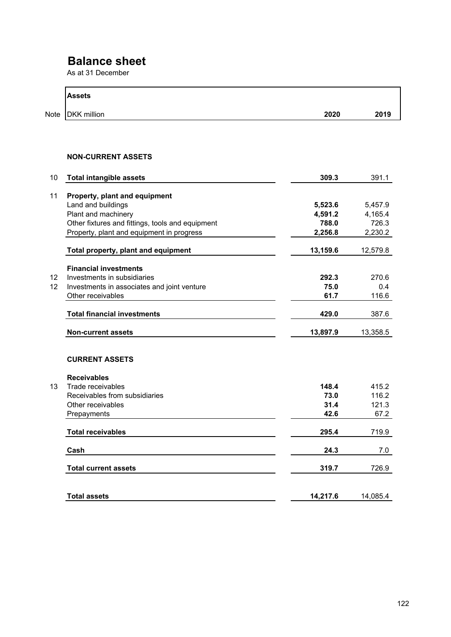# **Balance sheet**

As at 31 December

| <b>Assets</b>                                     |          |          |
|---------------------------------------------------|----------|----------|
| Note<br><b>DKK</b> million                        | 2020     | 2019     |
|                                                   |          |          |
| <b>NON-CURRENT ASSETS</b>                         |          |          |
| 10<br><b>Total intangible assets</b>              | 309.3    | 391.1    |
| 11<br>Property, plant and equipment               |          |          |
| Land and buildings                                | 5,523.6  | 5,457.9  |
| Plant and machinery                               | 4,591.2  | 4,165.4  |
| Other fixtures and fittings, tools and equipment  | 788.0    | 726.3    |
| Property, plant and equipment in progress         | 2,256.8  | 2,230.2  |
| Total property, plant and equipment               | 13,159.6 | 12,579.8 |
| <b>Financial investments</b>                      |          |          |
| 12<br>Investments in subsidiaries                 | 292.3    | 270.6    |
| 12<br>Investments in associates and joint venture | 75.0     | 0.4      |
| Other receivables                                 | 61.7     | 116.6    |
| <b>Total financial investments</b>                | 429.0    | 387.6    |
| <b>Non-current assets</b>                         | 13,897.9 | 13,358.5 |
| <b>CURRENT ASSETS</b>                             |          |          |
| <b>Receivables</b>                                |          |          |
| Trade receivables                                 | 148.4    | 415.2    |
| Receivables from subsidiaries                     | 73.0     | 116.2    |
| Other receivables                                 | 31.4     | 121.3    |
| Prepayments                                       | 42.6     | 67.2     |
| <b>Total receivables</b>                          | 295.4    | 719.9    |
| Cash                                              | 24.3     | 7.0      |
| <b>Total current assets</b>                       | 319.7    | 726.9    |
|                                                   |          |          |
| <b>Total assets</b>                               | 14,217.6 | 14,085.4 |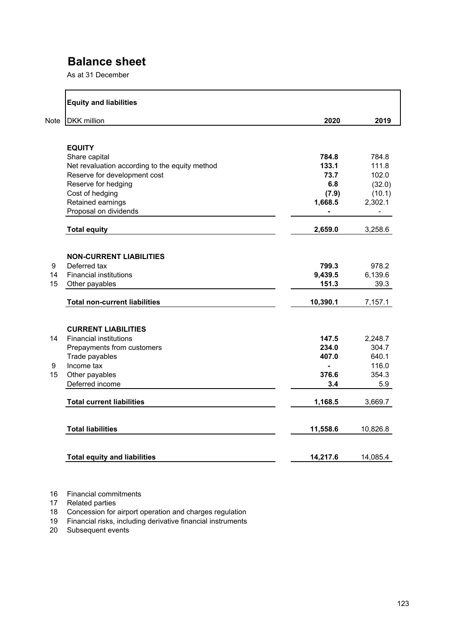# **Balance sheet**

As at 31 December

|      | <b>Equity and liabilities</b>                  |          |                          |
|------|------------------------------------------------|----------|--------------------------|
| Note | <b>DKK</b> million                             | 2020     | 2019                     |
|      |                                                |          |                          |
|      | <b>EQUITY</b>                                  |          |                          |
|      | Share capital                                  | 784.8    | 784.8                    |
|      | Net revaluation according to the equity method | 133.1    | 111.8                    |
|      | Reserve for development cost                   | 73.7     | 102.0                    |
|      | Reserve for hedging                            | 6.8      | (32.0)                   |
|      | Cost of hedging                                | (7.9)    | (10.1)                   |
|      | Retained earnings                              | 1,668.5  | 2,302.1                  |
|      | Proposal on dividends                          | ä,       | $\overline{\phantom{0}}$ |
|      | <b>Total equity</b>                            | 2,659.0  | 3,258.6                  |
|      |                                                |          |                          |
|      | <b>NON-CURRENT LIABILITIES</b>                 |          |                          |
| 9    | Deferred tax                                   | 799.3    | 978.2                    |
| 14   | <b>Financial institutions</b>                  | 9,439.5  | 6,139.6                  |
| 15   | Other payables                                 | 151.3    | 39.3                     |
|      | <b>Total non-current liabilities</b>           | 10,390.1 | 7,157.1                  |
|      | <b>CURRENT LIABILITIES</b>                     |          |                          |
| 14   | <b>Financial institutions</b>                  | 147.5    | 2,248.7                  |
|      | Prepayments from customers                     | 234.0    | 304.7                    |
|      | Trade payables                                 | 407.0    | 640.1                    |
| 9    | Income tax                                     | ÷        | 116.0                    |
| 15   | Other payables                                 | 376.6    | 354.3                    |
|      | Deferred income                                | 3.4      | 5.9                      |
|      | <b>Total current liabilities</b>               | 1,168.5  | 3,669.7                  |
|      |                                                |          |                          |
|      | <b>Total liabilities</b>                       | 11,558.6 | 10,826.8                 |
|      |                                                |          |                          |
|      | <b>Total equity and liabilities</b>            | 14,217.6 | 14,085.4                 |

16 Financial commitments

17 Related parties

18 Concession for airport operation and charges regulation

19 Financial risks, including derivative financial instruments

20 Subsequent events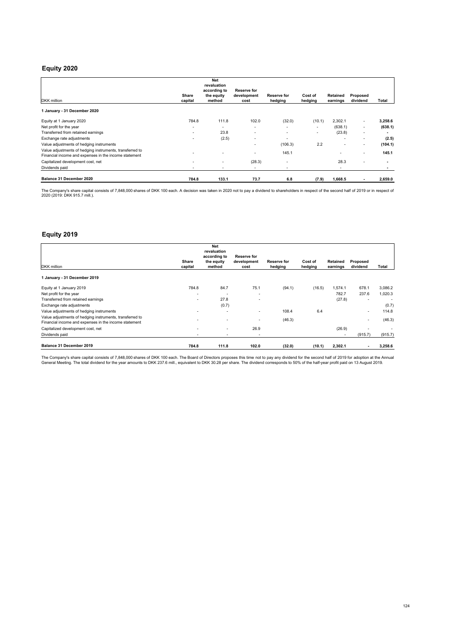## **Equity 2020**

|                                                                                                                   |                          | <b>Net</b><br>revaluation |                          |                          |                          |                          |                          |         |
|-------------------------------------------------------------------------------------------------------------------|--------------------------|---------------------------|--------------------------|--------------------------|--------------------------|--------------------------|--------------------------|---------|
|                                                                                                                   |                          | according to              | Reserve for              |                          |                          |                          |                          |         |
| DKK million                                                                                                       | Share<br>capital         | the equity<br>method      | development<br>cost      | Reserve for<br>hedging   | Cost of<br>hedging       | Retained<br>earnings     | Proposed<br>dividend     | Total   |
| 1 January - 31 December 2020                                                                                      |                          |                           |                          |                          |                          |                          |                          |         |
| Equity at 1 January 2020                                                                                          | 784.8                    | 111.8                     | 102.0                    | (32.0)                   | (10.1)                   | 2,302.1                  | $\overline{\phantom{a}}$ | 3,258.6 |
| Net profit for the year                                                                                           | ۰                        | $\overline{\phantom{a}}$  | $\overline{\phantom{0}}$ |                          | $\overline{\phantom{a}}$ | (638.1)                  | $\overline{\phantom{a}}$ | (638.1) |
| Transferred from retained earnings                                                                                | $\overline{\phantom{a}}$ | 23.8                      | ٠                        | $\overline{\phantom{0}}$ | $\overline{\phantom{a}}$ | (23.8)                   | $\overline{\phantom{a}}$ |         |
| Exchange rate adjustments                                                                                         |                          | (2.5)                     |                          | ٠                        |                          | $\overline{\phantom{a}}$ | $\overline{\phantom{a}}$ | (2.5)   |
| Value adjustments of hedging instruments                                                                          |                          |                           |                          | (106.3)                  | 2.2                      | $\overline{\phantom{0}}$ | ٠                        | (104.1) |
| Value adjustments of hedging instruments, transferred to<br>Financial income and expenses in the income statement |                          |                           |                          | 145.1                    |                          |                          | $\overline{\phantom{a}}$ | 145.1   |
| Capitalized development cost, net                                                                                 | ٠                        | ٠                         | (28.3)                   | -                        |                          | 28.3                     | ٠                        |         |
| Dividends paid                                                                                                    | $\overline{\phantom{a}}$ | ٠                         | $\overline{\phantom{a}}$ | -                        |                          | $\overline{\phantom{a}}$ |                          |         |
| Balance 31 December 2020                                                                                          | 784.8                    | 133.1                     | 73.7                     | 6.8                      | (7.9)                    | 1,668.5                  |                          | 2,659.0 |

The Company's share capital consists of 7,848,000 shares of DKK 100 each. A decision was taken in 2020 not to pay a dividend to shareholders in respect of the second half of 2019 or in respect of<br>2020 (2019: DKK 915.7 mill

## **Equity 2019**

|                                                                                                                   |                          | <b>Net</b><br>revaluation<br>according to | Reserve for              |                        |                    |                             |                          |         |
|-------------------------------------------------------------------------------------------------------------------|--------------------------|-------------------------------------------|--------------------------|------------------------|--------------------|-----------------------------|--------------------------|---------|
| <b>DKK</b> million                                                                                                | Share<br>capital         | the equity<br>method                      | development<br>cost      | Reserve for<br>hedging | Cost of<br>hedging | <b>Retained</b><br>earnings | Proposed<br>dividend     | Total   |
| 1 January - 31 December 2019                                                                                      |                          |                                           |                          |                        |                    |                             |                          |         |
| Equity at 1 January 2019                                                                                          | 784.8                    | 84.7                                      | 75.1                     | (94.1)                 | (16.5)             | 1,574.1                     | 678.1                    | 3,086.2 |
| Net profit for the year                                                                                           | ٠                        | ۰.                                        | ٠                        |                        |                    | 782.7                       | 237.6                    | 1,020.3 |
| Transferred from retained earnings                                                                                | $\overline{\phantom{a}}$ | 27.8                                      | $\overline{\phantom{a}}$ |                        |                    | (27.8)                      | $\overline{\phantom{a}}$ |         |
| Exchange rate adjustments                                                                                         |                          | (0.7)                                     |                          |                        |                    |                             |                          | (0.7)   |
| Value adjustments of hedging instruments                                                                          |                          |                                           |                          | 108.4                  | 6.4                |                             | $\overline{\phantom{0}}$ | 114.8   |
| Value adjustments of hedging instruments, transferred to<br>Financial income and expenses in the income statement |                          |                                           |                          | (46.3)                 |                    |                             | -                        | (46.3)  |
| Capitalized development cost, net                                                                                 |                          | $\overline{\phantom{0}}$                  | 26.9                     |                        |                    | (26.9)                      |                          |         |
| Dividends paid                                                                                                    |                          | ٠                                         | $\overline{\phantom{a}}$ |                        |                    | $\overline{\phantom{a}}$    | (915.7)                  | (915.7) |
| Balance 31 December 2019                                                                                          | 784.8                    | 111.8                                     | 102.0                    | (32.0)                 | (10.1)             | 2,302.1                     | ۰                        | 3,258.6 |

The Company's share capital consists of 7,848,000 shares of DKK 100 each. The Board of Directors proposes this time not to pay any dividend for the second half of 2019 for adoption at the Annua<br>General Meeting. The total d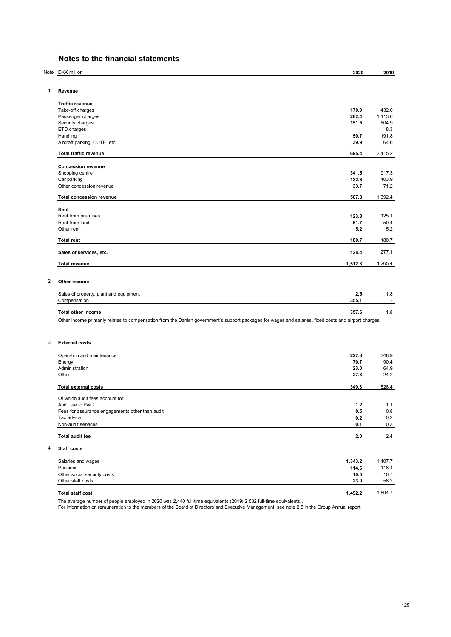Note DKK million **2020 2019**

#### 1 **Revenue**

| <b>Traffic revenue</b>          |         |         |
|---------------------------------|---------|---------|
| Take-off charges                | 170.9   | 432.0   |
| Passenger charges               | 282.4   | 1,113.6 |
| Security charges                | 151.5   | 604.9   |
| ETD charges                     |         | 8.3     |
| Handling                        | 50.7    | 191.8   |
| Aircraft parking, CUTE, etc.    | 39.9    | 64.6    |
| <b>Total traffic revenue</b>    | 695.4   | 2,415.2 |
| <b>Concession revenue</b>       |         |         |
| Shopping centre                 | 341.5   | 917.3   |
| Car parking                     | 132.6   | 403.9   |
| Other concession revenue        | 33.7    | 71.2    |
| <b>Total concession revenue</b> | 507.8   | 1,392.4 |
| Rent                            |         |         |
| Rent from premises              | 123.8   | 125.1   |
| Rent from land                  | 51.7    | 50.4    |
| Other rent                      | 5.2     | 5.2     |
| <b>Total rent</b>               | 180.7   | 180.7   |
| Sales of services, etc.         | 128.4   | 277.1   |
| <b>Total revenue</b>            | 1,512.3 | 4,265.4 |

#### 2 **Other income**

| Sales of property, plant and equipment | 2.5   | . . 8 |
|----------------------------------------|-------|-------|
| Compensation                           | 355.1 | -     |
|                                        |       |       |
| Total other income                     | 357.6 | 8.،   |

Other income primarily relates to compensation from the Danish government's support packages for wages and salaries, fixed costs and airport charges.

#### 3 **External costs**

4 **Staff costs**

| Operation and maintenance                       | 227.8   | 348.9   |
|-------------------------------------------------|---------|---------|
| Energy                                          | 70.7    | 90.4    |
| Administration                                  | 23.0    | 64.9    |
| Other                                           | 27.8    | 24.2    |
| <b>Total external costs</b>                     | 349.3   | 528.4   |
| Of which audit fees account for                 |         |         |
| Audit fee to PwC                                | 1.2     | 1.1     |
| Fees for assurance engagements other than audit | 0.5     | 0.8     |
| Tax advice                                      | 0.2     | 0.2     |
| Non-audit services                              | 0.1     | 0.3     |
| <b>Total audit fee</b>                          | 2.0     | 2.4     |
| <b>Staff costs</b>                              |         |         |
| Salaries and wages                              | 1,343.2 | 1,407.7 |
| Pensions                                        | 114.6   | 118.1   |
| Other social security costs                     | 10.5    | 10.7    |
| Other staff costs                               | 23.9    | 58.2    |
| <b>Total staff cost</b>                         | 1,492.2 | 1,594.7 |

The average number of people employed in 2020 was 2,440 full-time equivalents (2019: 2,532 full-time equivalents).

For information on remuneration to the members of the Board of Directors and Executive Management, see note 2.5 in the Group Annual report.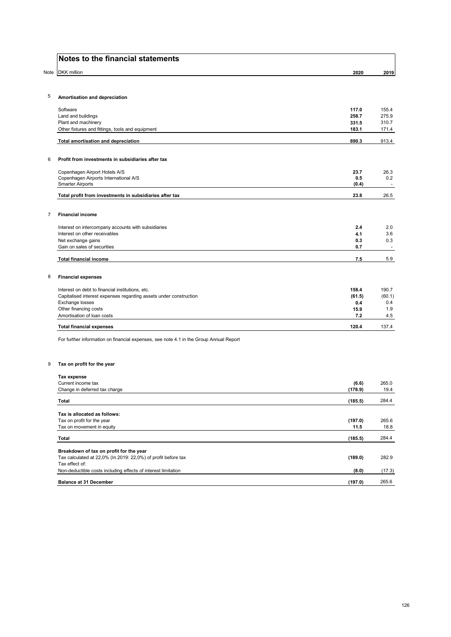| <b>Notes to the financial statements</b> |  |  |  |  |
|------------------------------------------|--|--|--|--|
|------------------------------------------|--|--|--|--|

|                | Notes to the financial statements                                                      |                |                          |
|----------------|----------------------------------------------------------------------------------------|----------------|--------------------------|
| Note           | <b>DKK</b> million                                                                     | 2020           | 2019                     |
| 5              | Amortisation and depreciation                                                          |                |                          |
|                |                                                                                        |                |                          |
|                | Software<br>Land and buildings                                                         | 117.0<br>258.7 | 155.4<br>275.9           |
|                | Plant and machinery                                                                    | 331.5          | 310.7                    |
|                | Other fixtures and fittings, tools and equipment                                       | 183.1          | 171.4                    |
|                | Total amortisation and depreciation                                                    | 890.3          | 913.4                    |
| 6              | Profit from investments in subsidiaries after tax                                      |                |                          |
|                | Copenhagen Airport Hotels A/S                                                          | 23.7           | 26.3                     |
|                | Copenhagen Airports International A/S                                                  | 0.5            | 0.2                      |
|                | <b>Smarter Airports</b>                                                                | (0.4)          | $\sim$                   |
|                | Total profit from investments in subsidiaries after tax                                | 23.8           | 26.5                     |
| $\overline{7}$ | <b>Financial income</b>                                                                |                |                          |
|                | Interest on intercompany accounts with subsidiaries                                    | 2.4            | 2.0                      |
|                | Interest on other receivables                                                          | 4.1            | 3.6                      |
|                | Net exchange gains                                                                     | 0.3            | 0.3                      |
|                | Gain on sales of securities                                                            | 0.7            | $\overline{\phantom{a}}$ |
|                | <b>Total financial income</b>                                                          | 7.5            | 5.9                      |
| 8              | <b>Financial expenses</b>                                                              |                |                          |
|                | Interest on debt to financial institutions, etc.                                       | 158.4          | 190.7                    |
|                | Capitalised interest expenses regarding assets under construction                      | (61.5)         | (60.1)                   |
|                | Exchange losses                                                                        | 0.4            | 0.4                      |
|                | Other financing costs                                                                  | 15.9           | 1.9                      |
|                | Amortisation of loan costs                                                             | 7.2            | 4.5                      |
|                | <b>Total financial expenses</b>                                                        | 120.4          | 137.4                    |
|                | For further information on financial expenses, see note 4.1 in the Group Annual Report |                |                          |
| 9              | Tax on profit for the year                                                             |                |                          |
|                | <b>Tax expense</b>                                                                     |                |                          |
|                | Current income tax                                                                     | (6.6)          | 265.0                    |
|                | Change in deferred tax charge                                                          | (178.9)        | 19.4                     |
|                | <b>Total</b>                                                                           | (185.5)        | 284.4                    |
|                |                                                                                        |                |                          |

| Tax is allocated as follows:                                  |         |        |
|---------------------------------------------------------------|---------|--------|
| Tax on profit for the year                                    | (197.0) | 265.6  |
| Tax on movement in equity                                     | 11.5    | 18.8   |
| Total                                                         | (185.5) | 284.4  |
| Breakdown of tax on profit for the year                       |         |        |
| Tax calculated at 22,0% (In 2019: 22,0%) of profit before tax | (189.0) | 282.9  |
| Tax effect of:                                                |         |        |
| Non-deductible costs including effects of interest limitation | (8.0)   | (17.3) |
| <b>Balance at 31 December</b>                                 | (197.0) | 265.6  |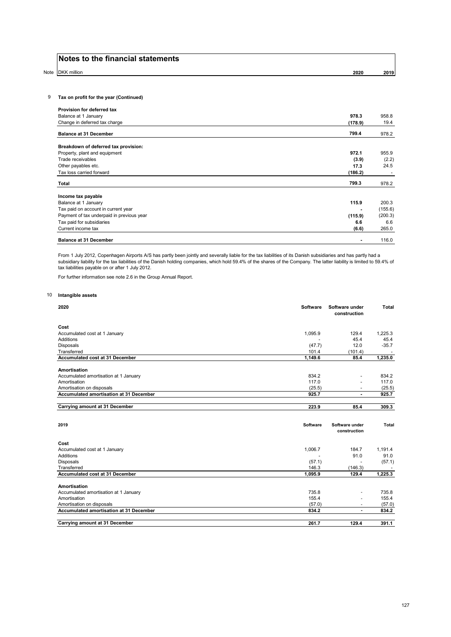Note DKK million **2020 2019**

### 9 **Tax on profit for the year (Continued)**

| Provision for deferred tax                |         |         |
|-------------------------------------------|---------|---------|
| Balance at 1 January                      | 978.3   | 958.8   |
| Change in deferred tax charge             | (178.9) | 19.4    |
| <b>Balance at 31 December</b>             | 799.4   | 978.2   |
| Breakdown of deferred tax provision:      |         |         |
| Property, plant and equipment             | 972.1   | 955.9   |
| Trade receivables                         | (3.9)   | (2.2)   |
| Other payables etc.                       | 17.3    | 24.5    |
| Tax loss carried forward                  | (186.2) |         |
| Total                                     | 799.3   | 978.2   |
| Income tax payable                        |         |         |
| Balance at 1 January                      | 115.9   | 200.3   |
| Tax paid on account in current year       |         | (155.6) |
| Payment of tax underpaid in previous year | (115.9) | (200.3) |
| Tax paid for subsidiaries                 | 6.6     | 6.6     |
| Current income tax                        | (6.6)   | 265.0   |
| <b>Balance at 31 December</b>             |         | 116.0   |

From 1 July 2012, Copenhagen Airports A/S has partly been jointly and severally liable for the tax liabilities of its Danish subsidiaries and has partly had a subsidiary liability for the tax liabilities of the Danish holding companies, which hold 59.4% of the shares of the Company. The latter liability is limited to 59.4% of tax liabilities payable on or after 1 July 2012.

For further information see note 2.6 in the Group Annual Report.

#### 10 **Intangible assets**

| 2020                                           | Software        | Software under<br>construction | <b>Total</b> |
|------------------------------------------------|-----------------|--------------------------------|--------------|
| Cost                                           |                 |                                |              |
| Accumulated cost at 1 January                  | 1,095.9         | 129.4                          | 1.225.3      |
| Additions                                      |                 | 45.4                           | 45.4         |
| Disposals                                      | (47.7)          | 12.0                           | $-35.7$      |
| Transferred                                    | 101.4           | (101.4)                        |              |
| Accumulated cost at 31 December                | 1,149.6         | 85.4                           | 1,235.0      |
| Amortisation                                   |                 |                                |              |
| Accumulated amortisation at 1 January          | 834.2           |                                | 834.2        |
| Amortisation                                   | 117.0           |                                | 117.0        |
| Amortisation on disposals                      | (25.5)          | $\overline{\phantom{a}}$       | (25.5)       |
| <b>Accumulated amortisation at 31 December</b> | 925.7           | $\overline{a}$                 | 925.7        |
| Carrying amount at 31 December                 | 223.9           | 85.4                           | 309.3        |
| 2019                                           | <b>Software</b> | Software under<br>construction | Total        |
| Cost                                           |                 |                                |              |
| Accumulated cost at 1 January                  | 1,006.7         | 184.7                          | 1,191.4      |
| Additions                                      |                 | 91.0                           | 91.0         |
| Disposals                                      | (57.1)          |                                | (57.1)       |
| Transferred                                    | 146.3           | (146.3)                        |              |
| Accumulated cost at 31 December                | 1,095.9         | 129.4                          | 1.225.3      |
| Amortisation                                   |                 |                                |              |
| Accumulated amortisation at 1 January          | 735.8           |                                | 735.8        |
| Amortisation                                   | 155.4           |                                | 155.4        |
| Amortisation on disposals                      | (57.0)          | ٠                              | (57.0)       |
| Accumulated amortisation at 31 December        | 834.2           | $\blacksquare$                 | 834.2        |
| Carrying amount at 31 December                 | 261.7           | 129.4                          | 391.1        |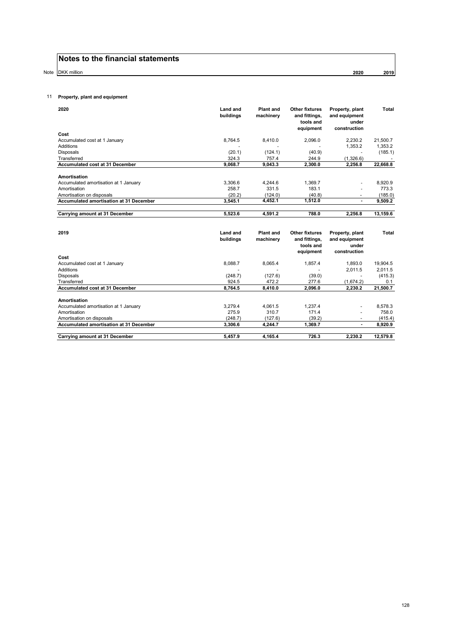Note DKK million **2020 2019**

## 11 **Property, plant and equipment**

| 2020                                           | <b>Land and</b><br>buildings | <b>Plant and</b><br>machinery | <b>Other fixtures</b><br>and fittings,<br>tools and<br>equipment | Property, plant<br>and equipment<br>under<br>construction | <b>Total</b> |
|------------------------------------------------|------------------------------|-------------------------------|------------------------------------------------------------------|-----------------------------------------------------------|--------------|
| Cost                                           |                              |                               |                                                                  |                                                           |              |
| Accumulated cost at 1 January                  | 8.764.5                      | 8.410.0                       | 2,096.0                                                          | 2,230.2                                                   | 21,500.7     |
| <b>Additions</b>                               |                              |                               |                                                                  | 1,353.2                                                   | 1,353.2      |
| <b>Disposals</b>                               | (20.1)                       | (124.1)                       | (40.9)                                                           |                                                           | (185.1)      |
| Transferred                                    | 324.3                        | 757.4                         | 244.9                                                            | (1,326.6)                                                 |              |
| Accumulated cost at 31 December                | 9,068.7                      | 9,043.3                       | 2,300.0                                                          | 2,256.8                                                   | 22,668.8     |
| Amortisation                                   |                              |                               |                                                                  |                                                           |              |
| Accumulated amortisation at 1 January          | 3,306.6                      | 4,244.6                       | 1,369.7                                                          |                                                           | 8,920.9      |
| Amortisation                                   | 258.7                        | 331.5                         | 183.1                                                            |                                                           | 773.3        |
| Amortisation on disposals                      | (20.2)                       | (124.0)                       | (40.8)                                                           |                                                           | (185.0)      |
| <b>Accumulated amortisation at 31 December</b> | 3,545.1                      | 4,452.1                       | 1,512.0                                                          | $\blacksquare$                                            | 9,509.2      |
|                                                |                              |                               |                                                                  |                                                           |              |
| Carrying amount at 31 December                 | 5.523.6                      | 4.591.2                       | 788.0                                                            | 2.256.8                                                   | 13,159.6     |
|                                                |                              |                               |                                                                  |                                                           |              |
| 2019                                           | <b>Land and</b><br>buildings | <b>Plant and</b><br>machinery | <b>Other fixtures</b><br>and fittings,                           | Property, plant<br>and equipment                          | Total        |
|                                                |                              |                               | tools and<br>equipment                                           | under<br>construction                                     |              |
| Cost                                           |                              |                               |                                                                  |                                                           |              |
| Accumulated cost at 1 January                  | 8.088.7                      | 8.065.4                       | 1.857.4                                                          | 1,893.0                                                   | 19.904.5     |
| <b>Additions</b>                               | $\overline{\phantom{a}}$     | $\blacksquare$                |                                                                  | 2,011.5                                                   | 2,011.5      |
| <b>Disposals</b>                               | (248.7)                      | (127.6)                       | (39.0)                                                           | $\tilde{\phantom{a}}$                                     | (415.3)      |
| Transferred                                    | 924.5                        | 472.2                         | 277.6                                                            | (1,674.2)                                                 | 0.1          |
| Accumulated cost at 31 December                | 8,764.5                      | 8,410.0                       | 2,096.0                                                          | 2,230.2                                                   | 21,500.7     |
| Amortisation                                   |                              |                               |                                                                  |                                                           |              |
| Accumulated amortisation at 1 January          | 3,279.4                      | 4,061.5                       | 1,237.4                                                          |                                                           | 8,578.3      |
| Amortisation                                   | 275.9                        | 310.7                         | 171.4                                                            |                                                           | 758.0        |
| Amortisation on disposals                      |                              |                               | (39.2)                                                           |                                                           |              |
|                                                |                              |                               |                                                                  |                                                           |              |
|                                                | (248.7)                      | (127.6)                       |                                                                  | $\overline{a}$                                            | (415.4)      |
| Accumulated amortisation at 31 December        | 3,306.6                      | 4,244.7                       | 1,369.7                                                          |                                                           | 8,920.9      |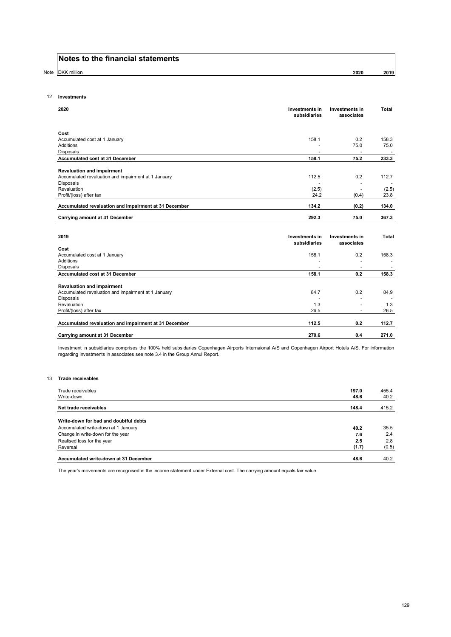Note DKK million **2020 2019**

#### 12 **Investments**

| 2020                                                  | Investments in<br>subsidiaries | <b>Investments in</b><br>associates | Total                    |
|-------------------------------------------------------|--------------------------------|-------------------------------------|--------------------------|
| Cost                                                  |                                |                                     |                          |
| Accumulated cost at 1 January                         | 158.1                          | 0.2                                 | 158.3                    |
| Additions                                             |                                | 75.0                                | 75.0                     |
| <b>Disposals</b>                                      |                                |                                     |                          |
| Accumulated cost at 31 December                       | 158.1                          | 75.2                                | 233.3                    |
| <b>Revaluation and impairment</b>                     |                                |                                     |                          |
| Accumulated revaluation and impairment at 1 January   | 112.5                          | 0.2                                 | 112.7                    |
| Disposals                                             |                                |                                     | ٠                        |
| Revaluation                                           | (2.5)                          |                                     | (2.5)                    |
| Profit/(loss) after tax                               | 24.2                           | (0.4)                               | 23.8                     |
| Accumulated revaluation and impairment at 31 December | 134.2                          | (0.2)                               | 134.0                    |
| Carrying amount at 31 December                        | 292.3                          | 75.0                                | 367.3                    |
|                                                       |                                |                                     |                          |
| 2019                                                  | Investments in                 | Investments in                      | Total                    |
|                                                       | subsidiaries                   | associates                          |                          |
| Cost                                                  |                                |                                     |                          |
| Accumulated cost at 1 January                         | 158.1                          | 0.2                                 | 158.3                    |
| <b>Additions</b>                                      |                                | $\overline{a}$                      |                          |
| <b>Disposals</b>                                      | $\blacksquare$                 | $\overline{\phantom{a}}$            | $\overline{\phantom{a}}$ |
| Accumulated cost at 31 December                       | 158.1                          | 0.2                                 | 158.3                    |
| <b>Revaluation and impairment</b>                     |                                |                                     |                          |
| Accumulated revaluation and impairment at 1 January   | 84.7                           | 0.2                                 | 84.9                     |
| <b>Disposals</b>                                      |                                | ٠                                   |                          |
| Revaluation                                           | 1.3                            |                                     | 1.3                      |
| Profit/(loss) after tax                               | 26.5                           |                                     | 26.5                     |
| Accumulated revaluation and impairment at 31 December | 112.5                          | 0.2                                 | 112.7                    |
|                                                       |                                |                                     |                          |
| Carrying amount at 31 December                        | 270.6                          | 0.4                                 | 271.0                    |

Investment in subsidiaries comprises the 100% held subsidaries Copenhagen Airports Internaional A/S and Copenhagen Airport Hotels A/S. For information regarding investments in associates see note 3.4 in the Group Annul Report.

#### 13 **Trade receivables**

| Trade receivables<br>Write-down       | 197.0<br>48.6 | 455.4<br>40.2 |
|---------------------------------------|---------------|---------------|
|                                       |               |               |
| Net trade receivables                 | 148.4         | 415.2         |
| Write-down for bad and doubtful debts |               |               |
| Accumulated write-down at 1 January   | 40.2          | 35.5          |
| Change in write-down for the year     | 7.6           | 2.4           |
| Realised loss for the year            | 2.5           | 2.8           |
| Reversal                              | (1.7)         | (0.5)         |
| Accumulated write-down at 31 December | 48.6          | 40.2          |

The year's movements are recognised in the income statement under External cost. The carrying amount equals fair value.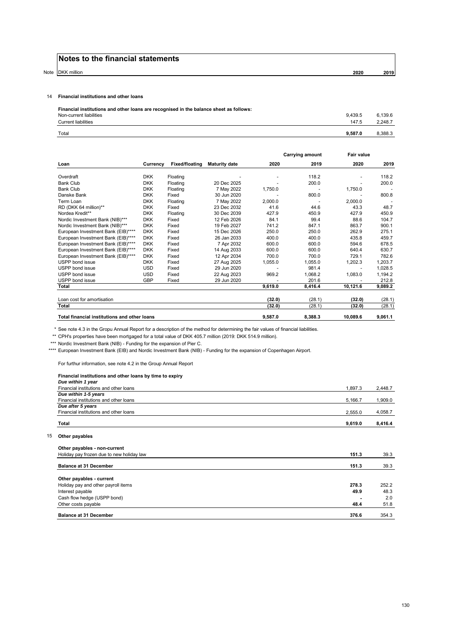Note DKK million **2020 2019**

#### 14 **Financial institutions and other loans**

| Total<br>9.587.0                                                                       | 8.388.3 |
|----------------------------------------------------------------------------------------|---------|
| 147.5<br><b>Current liabilities</b>                                                    | 2.248.7 |
| 9.439.5<br>Non-current liabilities                                                     | 6.139.6 |
| Financial institutions and other loans are recognised in the balance sheet as follows: |         |

|                                              |            |                       |                      |         | Carrying amount | <b>Fair value</b> |         |
|----------------------------------------------|------------|-----------------------|----------------------|---------|-----------------|-------------------|---------|
| Loan                                         | Currency   | <b>Fixed/floating</b> | <b>Maturity date</b> | 2020    | 2019            | 2020              | 2019    |
| Overdraft                                    | <b>DKK</b> | Floating              |                      |         | 118.2           |                   | 118.2   |
| <b>Bank Club</b>                             | <b>DKK</b> | Floating              | 20 Dec 2025          |         | 200.0           |                   | 200.0   |
| <b>Bank Club</b>                             | <b>DKK</b> | Floating              | 7 May 2022           | 1,750.0 |                 | 1,750.0           |         |
| Danske Bank                                  | <b>DKK</b> | Fixed                 | 30 Jun 2020          |         | 800.0           |                   | 800.8   |
| Term Loan                                    | <b>DKK</b> | Floating              | 7 May 2022           | 2,000.0 |                 | 2,000.0           |         |
| RD (DKK 64 million)**                        | <b>DKK</b> | Fixed                 | 23 Dec 2032          | 41.6    | 44.6            | 43.3              | 48.7    |
| Nordea Kredit**                              | <b>DKK</b> | Floating              | 30 Dec 2039          | 427.9   | 450.9           | 427.9             | 450.9   |
| Nordic Investment Bank (NIB)***              | <b>DKK</b> | Fixed                 | 12 Feb 2026          | 84.1    | 99.4            | 88.6              | 104.7   |
| Nordic Investment Bank (NIB)***              | <b>DKK</b> | Fixed                 | 19 Feb 2027          | 741.2   | 847.1           | 863.7             | 900.1   |
| European Investment Bank (EIB)****           | <b>DKK</b> | Fixed                 | 15 Dec 2026          | 250.0   | 250.0           | 262.9             | 275.1   |
| European Investment Bank (EIB)****           | <b>DKK</b> | Fixed                 | 26 Jan 2033          | 400.0   | 400.0           | 435.8             | 459.7   |
| European Investment Bank (EIB)****           | <b>DKK</b> | Fixed                 | 7 Apr 2032           | 600.0   | 600.0           | 594.6             | 678.5   |
| European Investment Bank (EIB)****           | <b>DKK</b> | Fixed                 | 14 Aug 2033          | 600.0   | 600.0           | 640.4             | 630.7   |
| European Investment Bank (EIB)*****          | <b>DKK</b> | Fixed                 | 12 Apr 2034          | 700.0   | 700.0           | 729.1             | 782.6   |
| <b>USPP</b> bond issue                       | <b>DKK</b> | Fixed                 | 27 Aug 2025          | 1,055.0 | 1.055.0         | 1.202.3           | 1,203.7 |
| USPP bond issue                              | <b>USD</b> | Fixed                 | 29 Jun 2020          |         | 981.4           |                   | 1,028.5 |
| USPP bond issue                              | <b>USD</b> | Fixed                 | 22 Aug 2023          | 969.2   | 1.068.2         | 1,083.0           | 1,194.2 |
| USPP bond issue                              | <b>GBP</b> | Fixed                 | 29 Jun 2020          |         | 201.6           |                   | 212.8   |
| Total                                        |            |                       |                      | 9.619.0 | 8.416.4         | 10,121.6          | 9,089.2 |
| Loan cost for amortisation                   |            |                       |                      | (32.0)  | (28.1)          | (32.0)            | (28.1)  |
| <b>Total</b>                                 |            |                       |                      | (32.0)  | (28.1)          | (32.0)            | (28.1)  |
| Total financial institutions and other loans |            |                       |                      | 9,587.0 | 8.388.3         | 10,089.6          | 9.061.1 |

\* See note 4.3 in the Gropu Annual Report for a description of the method for determining the fair values of financial liabilities.

\*\* CPH's properties have been mortgaged for a total value of DKK 405.7 million (2019: DKK 514.9 million).

\*\*\* Nordic Investment Bank (NIB) - Funding for the expansion of Pier C.

\*\*\*\* European Investment Bank (EIB) and Nordic Investment Bank (NIB) - Funding for the expansion of Copenhagen Airport.

For furthur information, see note 4.2 in the Group Annual Report

#### **Financial institutions and other loans by time to expiry**

| Due within 1 year                      |         |         |
|----------------------------------------|---------|---------|
| Financial institutions and other loans | 1,897.3 | 2.448.7 |
| Due within 1-5 years                   |         |         |
| Financial institutions and other loans | 5,166.7 | 1,909.0 |
| Due after 5 years                      |         |         |
| Financial institutions and other loans | 2,555.0 | 4,058.7 |
| Total                                  | 9.619.0 | 8.416.4 |
|                                        |         |         |

#### 15 **Other payables**

| Other payables - non-current              |       |       |
|-------------------------------------------|-------|-------|
| Holiday pay frozen due to new holiday law | 151.3 | 39.3  |
| <b>Balance at 31 December</b>             | 151.3 | 39.3  |
| Other payables - current                  |       |       |
| Holiday pay and other payroll items       | 278.3 | 252.2 |
| Interest payable                          | 49.9  | 48.3  |
| Cash flow hedge (USPP bond)               |       | 2.0   |
| Other costs payable                       | 48.4  | 51.8  |
| <b>Balance at 31 December</b>             | 376.6 | 354.3 |